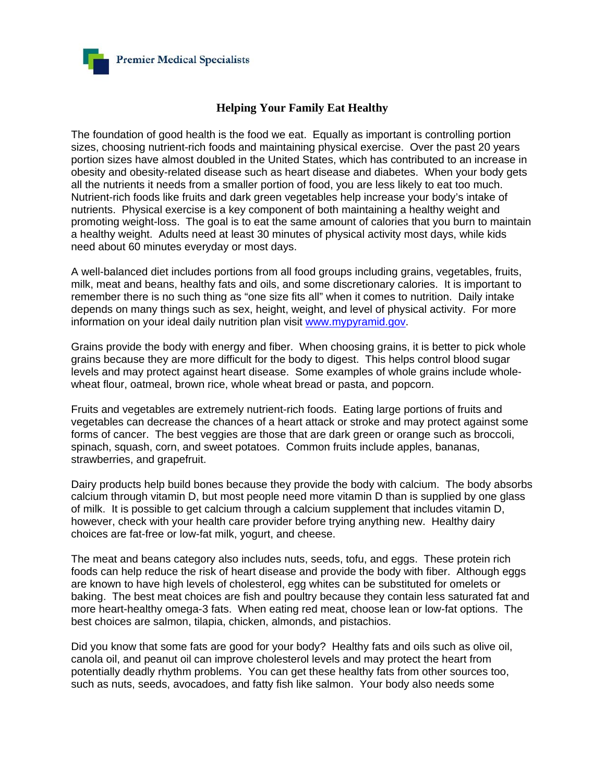

## **Helping Your Family Eat Healthy**

The foundation of good health is the food we eat. Equally as important is controlling portion sizes, choosing nutrient-rich foods and maintaining physical exercise. Over the past 20 years portion sizes have almost doubled in the United States, which has contributed to an increase in obesity and obesity-related disease such as heart disease and diabetes. When your body gets all the nutrients it needs from a smaller portion of food, you are less likely to eat too much. Nutrient-rich foods like fruits and dark green vegetables help increase your body's intake of nutrients. Physical exercise is a key component of both maintaining a healthy weight and promoting weight-loss. The goal is to eat the same amount of calories that you burn to maintain a healthy weight. Adults need at least 30 minutes of physical activity most days, while kids need about 60 minutes everyday or most days.

A well-balanced diet includes portions from all food groups including grains, vegetables, fruits, milk, meat and beans, healthy fats and oils, and some discretionary calories. It is important to remember there is no such thing as "one size fits all" when it comes to nutrition. Daily intake depends on many things such as sex, height, weight, and level of physical activity. For more information on your ideal daily nutrition plan visit www.mypyramid.gov.

Grains provide the body with energy and fiber. When choosing grains, it is better to pick whole grains because they are more difficult for the body to digest. This helps control blood sugar levels and may protect against heart disease. Some examples of whole grains include wholewheat flour, oatmeal, brown rice, whole wheat bread or pasta, and popcorn.

Fruits and vegetables are extremely nutrient-rich foods. Eating large portions of fruits and vegetables can decrease the chances of a heart attack or stroke and may protect against some forms of cancer. The best veggies are those that are dark green or orange such as broccoli, spinach, squash, corn, and sweet potatoes. Common fruits include apples, bananas, strawberries, and grapefruit.

Dairy products help build bones because they provide the body with calcium. The body absorbs calcium through vitamin D, but most people need more vitamin D than is supplied by one glass of milk. It is possible to get calcium through a calcium supplement that includes vitamin D, however, check with your health care provider before trying anything new. Healthy dairy choices are fat-free or low-fat milk, yogurt, and cheese.

The meat and beans category also includes nuts, seeds, tofu, and eggs. These protein rich foods can help reduce the risk of heart disease and provide the body with fiber. Although eggs are known to have high levels of cholesterol, egg whites can be substituted for omelets or baking. The best meat choices are fish and poultry because they contain less saturated fat and more heart-healthy omega-3 fats. When eating red meat, choose lean or low-fat options. The best choices are salmon, tilapia, chicken, almonds, and pistachios.

Did you know that some fats are good for your body? Healthy fats and oils such as olive oil, canola oil, and peanut oil can improve cholesterol levels and may protect the heart from potentially deadly rhythm problems. You can get these healthy fats from other sources too, such as nuts, seeds, avocadoes, and fatty fish like salmon. Your body also needs some